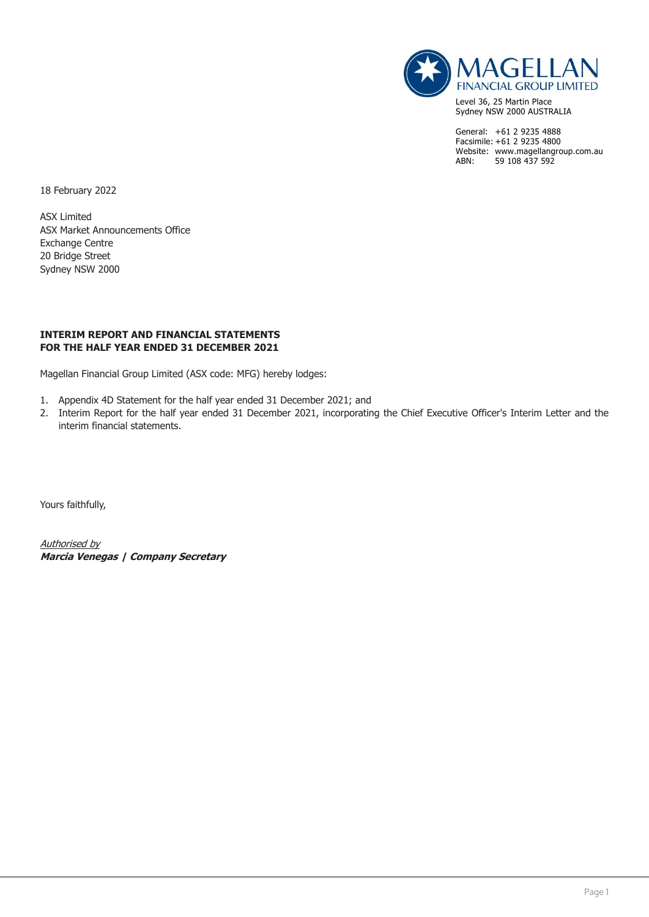

Level 36, 25 Martin Place Sydney NSW 2000 AUSTRALIA

General: +61 2 9235 4888 Facsimile: +61 2 9235 4800 Website: www.magellangroup.com.au<br>ABN: 59 108 437 592 59 108 437 592

18 February 2022

ASX Limited ASX Market Announcements Office Exchange Centre 20 Bridge Street Sydney NSW 2000

#### **INTERIM REPORT AND FINANCIAL STATEMENTS FOR THE HALF YEAR ENDED 31 DECEMBER 2021**

Magellan Financial Group Limited (ASX code: MFG) hereby lodges:

- 1. Appendix 4D Statement for the half year ended 31 December 2021; and
- 2. Interim Report for the half year ended 31 December 2021, incorporating the Chief Executive Officer's Interim Letter and the interim financial statements.

Yours faithfully,

Authorised by **Marcia Venegas | Company Secretary**